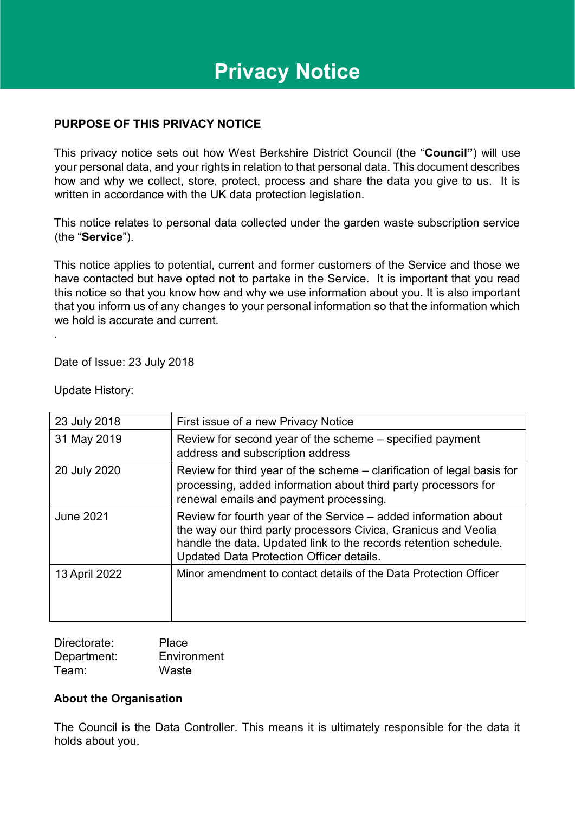# **Privacy Notice**

## **PURPOSE OF THIS PRIVACY NOTICE**

This privacy notice sets out how West Berkshire District Council (the "**Council"**) will use your personal data, and your rights in relation to that personal data. This document describes how and why we collect, store, protect, process and share the data you give to us. It is written in accordance with the UK data protection legislation.

This notice relates to personal data collected under the garden waste subscription service (the "**Service**").

This notice applies to potential, current and former customers of the Service and those we have contacted but have opted not to partake in the Service. It is important that you read this notice so that you know how and why we use information about you. It is also important that you inform us of any changes to your personal information so that the information which we hold is accurate and current.

Date of Issue: 23 July 2018

Update History:

.

| 23 July 2018     | First issue of a new Privacy Notice                                                                                                                                                                                                               |
|------------------|---------------------------------------------------------------------------------------------------------------------------------------------------------------------------------------------------------------------------------------------------|
| 31 May 2019      | Review for second year of the scheme – specified payment<br>address and subscription address                                                                                                                                                      |
| 20 July 2020     | Review for third year of the scheme – clarification of legal basis for<br>processing, added information about third party processors for<br>renewal emails and payment processing.                                                                |
| <b>June 2021</b> | Review for fourth year of the Service – added information about<br>the way our third party processors Civica, Granicus and Veolia<br>handle the data. Updated link to the records retention schedule.<br>Updated Data Protection Officer details. |
| 13 April 2022    | Minor amendment to contact details of the Data Protection Officer                                                                                                                                                                                 |

| Directorate: | Place       |
|--------------|-------------|
| Department:  | Environment |
| Team:        | Waste       |

### **About the Organisation**

The Council is the Data Controller. This means it is ultimately responsible for the data it holds about you.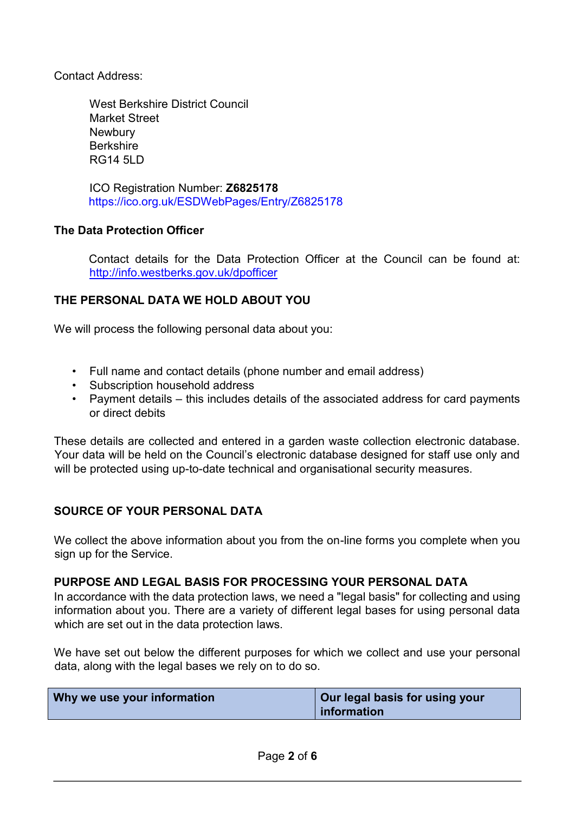Contact Address:

West Berkshire District Council Market Street **Newbury Berkshire** RG14 5LD

ICO Registration Number: **Z6825178**  <https://ico.org.uk/ESDWebPages/Entry/Z6825178>

# **The Data Protection Officer**

Contact details for the Data Protection Officer at the Council can be found at: <http://info.westberks.gov.uk/dpofficer>

# **THE PERSONAL DATA WE HOLD ABOUT YOU**

We will process the following personal data about you:

- Full name and contact details (phone number and email address)
- Subscription household address
- Payment details this includes details of the associated address for card payments or direct debits

These details are collected and entered in a garden waste collection electronic database. Your data will be held on the Council's electronic database designed for staff use only and will be protected using up-to-date technical and organisational security measures.

### **SOURCE OF YOUR PERSONAL DATA**

We collect the above information about you from the on-line forms you complete when you sign up for the Service.

### **PURPOSE AND LEGAL BASIS FOR PROCESSING YOUR PERSONAL DATA**

In accordance with the data protection laws, we need a "legal basis" for collecting and using information about you. There are a variety of different legal bases for using personal data which are set out in the data protection laws.

We have set out below the different purposes for which we collect and use your personal data, along with the legal bases we rely on to do so.

| Why we use your information | Our legal basis for using your |
|-----------------------------|--------------------------------|
|                             | information                    |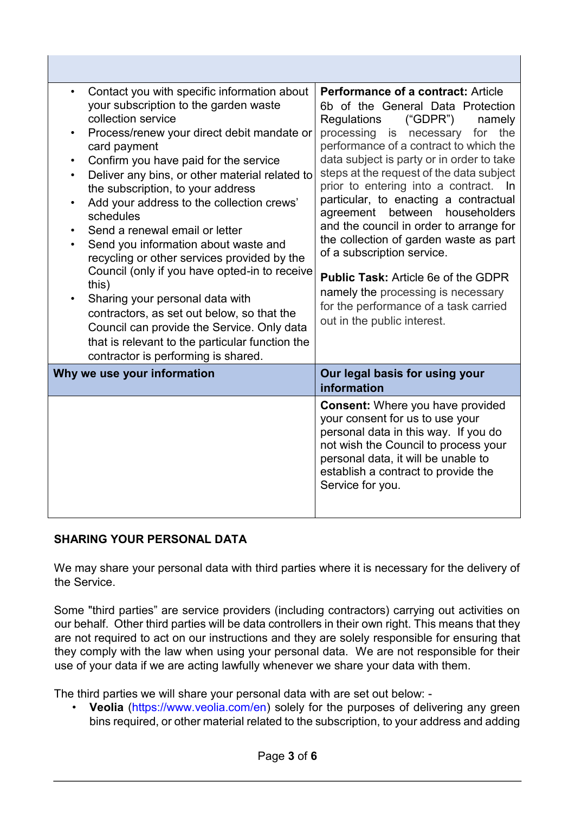| Contact you with specific information about<br>$\bullet$<br>your subscription to the garden waste<br>collection service<br>Process/renew your direct debit mandate or<br>$\bullet$<br>card payment<br>Confirm you have paid for the service<br>$\bullet$<br>Deliver any bins, or other material related to<br>$\bullet$<br>the subscription, to your address<br>Add your address to the collection crews'<br>$\bullet$<br>schedules<br>Send a renewal email or letter<br>٠<br>Send you information about waste and<br>$\bullet$<br>recycling or other services provided by the<br>Council (only if you have opted-in to receive<br>this)<br>Sharing your personal data with<br>$\bullet$<br>contractors, as set out below, so that the<br>Council can provide the Service. Only data<br>that is relevant to the particular function the<br>contractor is performing is shared. | Performance of a contract: Article<br>6b of the General Data Protection<br>Regulations<br>("GDPR")<br>namely<br>processing<br>is necessary<br>for<br>the<br>performance of a contract to which the<br>data subject is party or in order to take<br>steps at the request of the data subject<br>prior to entering into a contract. In<br>particular, to enacting a contractual<br>between<br>agreement<br>householders<br>and the council in order to arrange for<br>the collection of garden waste as part<br>of a subscription service.<br><b>Public Task: Article 6e of the GDPR</b><br>namely the processing is necessary<br>for the performance of a task carried<br>out in the public interest. |
|--------------------------------------------------------------------------------------------------------------------------------------------------------------------------------------------------------------------------------------------------------------------------------------------------------------------------------------------------------------------------------------------------------------------------------------------------------------------------------------------------------------------------------------------------------------------------------------------------------------------------------------------------------------------------------------------------------------------------------------------------------------------------------------------------------------------------------------------------------------------------------|------------------------------------------------------------------------------------------------------------------------------------------------------------------------------------------------------------------------------------------------------------------------------------------------------------------------------------------------------------------------------------------------------------------------------------------------------------------------------------------------------------------------------------------------------------------------------------------------------------------------------------------------------------------------------------------------------|
| Why we use your information                                                                                                                                                                                                                                                                                                                                                                                                                                                                                                                                                                                                                                                                                                                                                                                                                                                    | Our legal basis for using your<br>information                                                                                                                                                                                                                                                                                                                                                                                                                                                                                                                                                                                                                                                        |
|                                                                                                                                                                                                                                                                                                                                                                                                                                                                                                                                                                                                                                                                                                                                                                                                                                                                                | <b>Consent:</b> Where you have provided<br>your consent for us to use your<br>personal data in this way. If you do<br>not wish the Council to process your<br>personal data, it will be unable to<br>establish a contract to provide the<br>Service for you.                                                                                                                                                                                                                                                                                                                                                                                                                                         |

# **SHARING YOUR PERSONAL DATA**

We may share your personal data with third parties where it is necessary for the delivery of the Service.

Some "third parties" are service providers (including contractors) carrying out activities on our behalf. Other third parties will be data controllers in their own right. This means that they are not required to act on our instructions and they are solely responsible for ensuring that they comply with the law when using your personal data. We are not responsible for their use of your data if we are acting lawfully whenever we share your data with them.

The third parties we will share your personal data with are set out below: -

• **Veolia** [\(https://www.veolia.com/en\)](https://www.veolia.com/en) solely for the purposes of delivering any green bins required, or other material related to the subscription, to your address and adding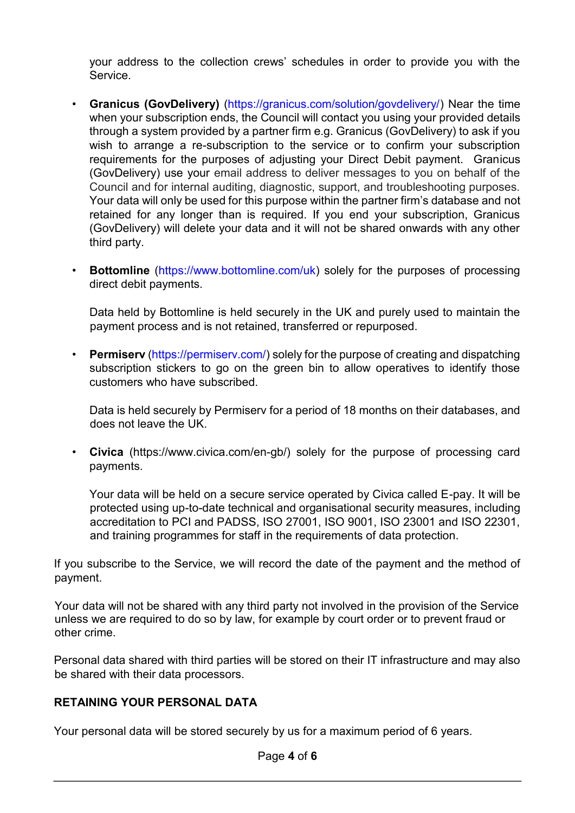your address to the collection crews' schedules in order to provide you with the Service.

- **Granicus (GovDelivery)** [\(https://granicus.com/solution/govdelivery/\)](https://granicus.com/solution/govdelivery/) Near the time when your subscription ends, the Council will contact you using your provided details through a system provided by a partner firm e.g. Granicus (GovDelivery) to ask if you wish to arrange a re-subscription to the service or to confirm your subscription requirements for the purposes of adjusting your Direct Debit payment. Granicus (GovDelivery) use your email address to deliver messages to you on behalf of the Council and for internal auditing, diagnostic, support, and troubleshooting purposes. Your data will only be used for this purpose within the partner firm's database and not retained for any longer than is required. If you end your subscription, Granicus (GovDelivery) will delete your data and it will not be shared onwards with any other third party.
- **Bottomline** [\(https://www.bottomline.com/uk\)](https://www.bottomline.com/uk) solely for the purposes of processing direct debit payments.

Data held by Bottomline is held securely in the UK and purely used to maintain the payment process and is not retained, transferred or repurposed.

• **Permiserv** [\(https://permiserv.com/\)](https://permiserv.com/) solely for the purpose of creating and dispatching subscription stickers to go on the green bin to allow operatives to identify those customers who have subscribed.

Data is held securely by Permiserv for a period of 18 months on their databases, and does not leave the UK.

• **Civica** [\(https://www.civica.com/en-gb/\)](https://www.civica.com/en-gb/) solely for the purpose of processing card payments.

Your data will be held on a secure service operated by Civica called E-pay. It will be protected using up-to-date technical and organisational security measures, including accreditation to PCI and PADSS, ISO 27001, ISO 9001, ISO 23001 and ISO 22301, and training programmes for staff in the requirements of data protection.

If you subscribe to the Service, we will record the date of the payment and the method of payment.

Your data will not be shared with any third party not involved in the provision of the Service unless we are required to do so by law, for example by court order or to prevent fraud or other crime.

Personal data shared with third parties will be stored on their IT infrastructure and may also be shared with their data processors.

# **RETAINING YOUR PERSONAL DATA**

Your personal data will be stored securely by us for a maximum period of 6 years.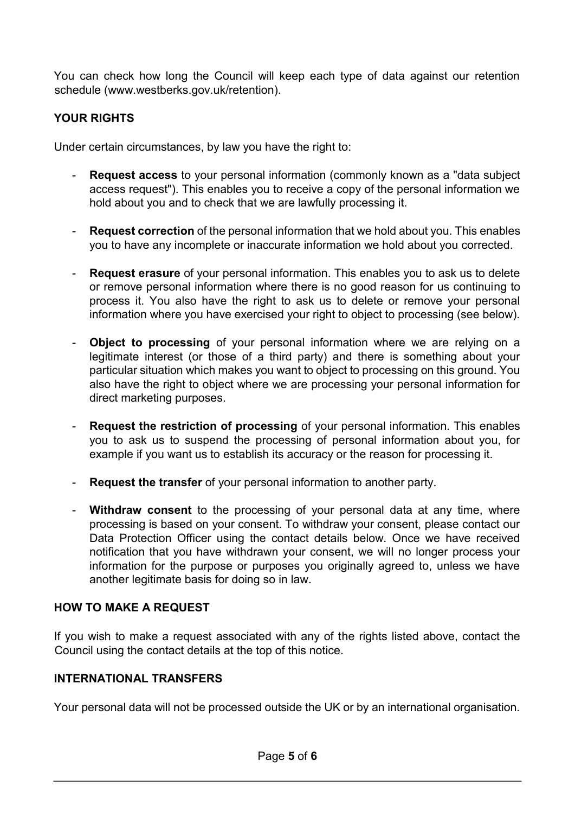You can check how long the Council will keep each type of data against our retention schedule (www.westberks.gov.uk/retention).

# **YOUR RIGHTS**

Under certain circumstances, by law you have the right to:

- **Request access** to your personal information (commonly known as a "data subject" access request"). This enables you to receive a copy of the personal information we hold about you and to check that we are lawfully processing it.
- **Request correction** of the personal information that we hold about you. This enables you to have any incomplete or inaccurate information we hold about you corrected.
- **Request erasure** of your personal information. This enables you to ask us to delete or remove personal information where there is no good reason for us continuing to process it. You also have the right to ask us to delete or remove your personal information where you have exercised your right to object to processing (see below).
- **Object to processing** of your personal information where we are relying on a legitimate interest (or those of a third party) and there is something about your particular situation which makes you want to object to processing on this ground. You also have the right to object where we are processing your personal information for direct marketing purposes.
- **Request the restriction of processing** of your personal information. This enables you to ask us to suspend the processing of personal information about you, for example if you want us to establish its accuracy or the reason for processing it.
- **Request the transfer** of your personal information to another party.
- **Withdraw consent** to the processing of your personal data at any time, where processing is based on your consent. To withdraw your consent, please contact our Data Protection Officer using the contact details below. Once we have received notification that you have withdrawn your consent, we will no longer process your information for the purpose or purposes you originally agreed to, unless we have another legitimate basis for doing so in law.

# **HOW TO MAKE A REQUEST**

If you wish to make a request associated with any of the rights listed above, contact the Council using the contact details at the top of this notice.

# **INTERNATIONAL TRANSFERS**

Your personal data will not be processed outside the UK or by an international organisation.